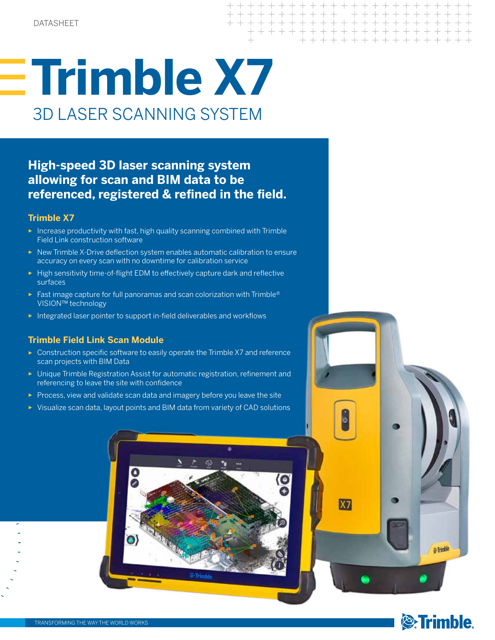$X7$ 

# **Trimble X7** 3D LASER SCANNING SYSTEM

## **High-speed 3D laser scanning system allowing for scan and BIM data to be referenced, registered & refined in the field.**

### **Trimble X7**

- ► Increase productivity with fast, high quality scanning combined with Trimble Field Link construction software
- ► New Trimble X-Drive deflection system enables automatic calibration to ensure accuracy on every scan with no downtime for calibration service
- ► High sensitivity time-of-flight EDM to effectively capture dark and reflective surfaces
- ► Fast image capture for full panoramas and scan colorization with Trimble<sup>®</sup> VISION™ technology
- ► Integrated laser pointer to support in-field deliverables and workflows

## **Trimble Field Link Scan Module**

- ► Construction specific software to easily operate the Trimble X7 and reference scan projects with BIM Data
- ► Unique Trimble Registration Assist for automatic registration, refinement and referencing to leave the site with confidence
- ► Process, view and validate scan data and imagery before you leave the site
- ► Visualize scan data, layout points and BIM data from variety of CAD solutions





& Trimble